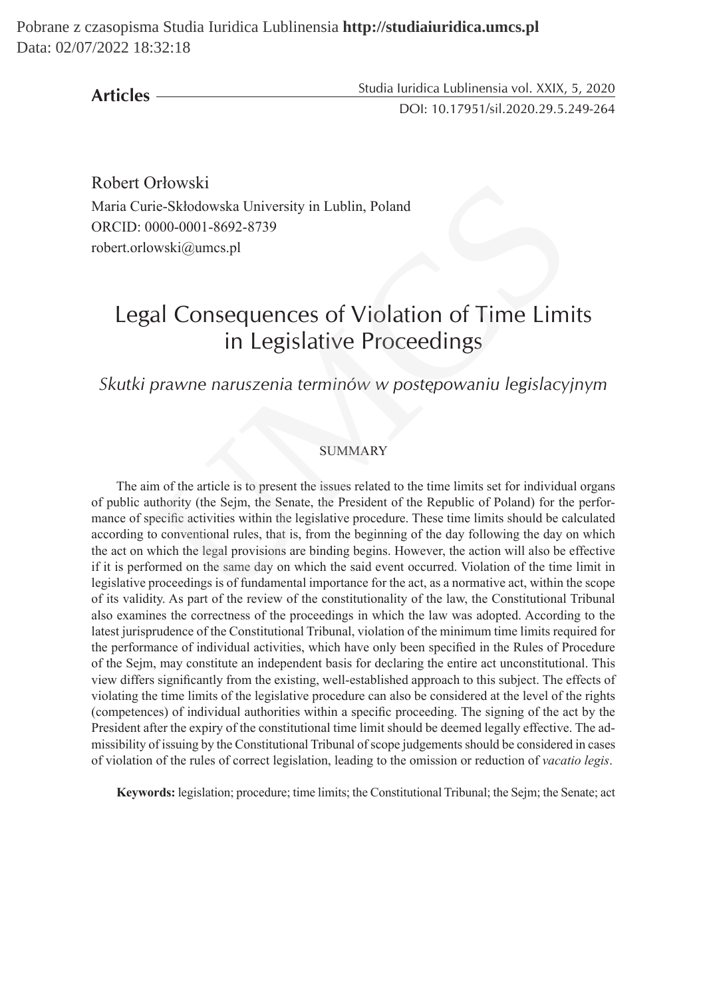**Articles**

Studia Iuridica Lublinensia vol. XXIX, 5, 2020 DOI: 10.17951/sil.2020.29.5.249-264

Robert Orłowski Maria Curie-Skłodowska University in Lublin, Poland ORCID: 0000-0001-8692-8739 robert.orlowski@umcs.pl

# Legal Consequences of Violation of Time Limits in Legislative Proceedings

# *Skutki prawne naruszenia terminów w postępowaniu legislacyjnym*

#### **SUMMARY**

The aim of the article is to present the issues related to the time limits set for individual organs of public authority (the Sejm, the Senate, the President of the Republic of Poland) for the performance of specific activities within the legislative procedure. These time limits should be calculated according to conventional rules, that is, from the beginning of the day following the day on which the act on which the legal provisions are binding begins. However, the action will also be effective if it is performed on the same day on which the said event occurred. Violation of the time limit in legislative proceedings is of fundamental importance for the act, as a normative act, within the scope of its validity. As part of the review of the constitutionality of the law, the Constitutional Tribunal also examines the correctness of the proceedings in which the law was adopted. According to the latest jurisprudence of the Constitutional Tribunal, violation of the minimum time limits required for the performance of individual activities, which have only been specified in the Rules of Procedure of the Sejm, may constitute an independent basis for declaring the entire act unconstitutional. This view differs significantly from the existing, well-established approach to this subject. The effects of violating the time limits of the legislative procedure can also be considered at the level of the rights (competences) of individual authorities within a specific proceeding. The signing of the act by the President after the expiry of the constitutional time limit should be deemed legally effective. The admissibility of issuing by the Constitutional Tribunal of scope judgements should be considered in cases of violation of the rules of correct legislation, leading to the omission or reduction of *vacatio legis*. Ortowski<br>
Trie-Skłodowska University in Lublin, Poland<br>
0000-0001-8692-8739<br>
owski@umcs.pl<br>
cal Consequences of Violation of Time Limi<br>
in Legislative Proceedings<br>
prawne naruszenia terminów w postępowaniu legislacyj<br>
SUMM

**Keywords:** legislation; procedure; time limits; the Constitutional Tribunal; the Sejm; the Senate; act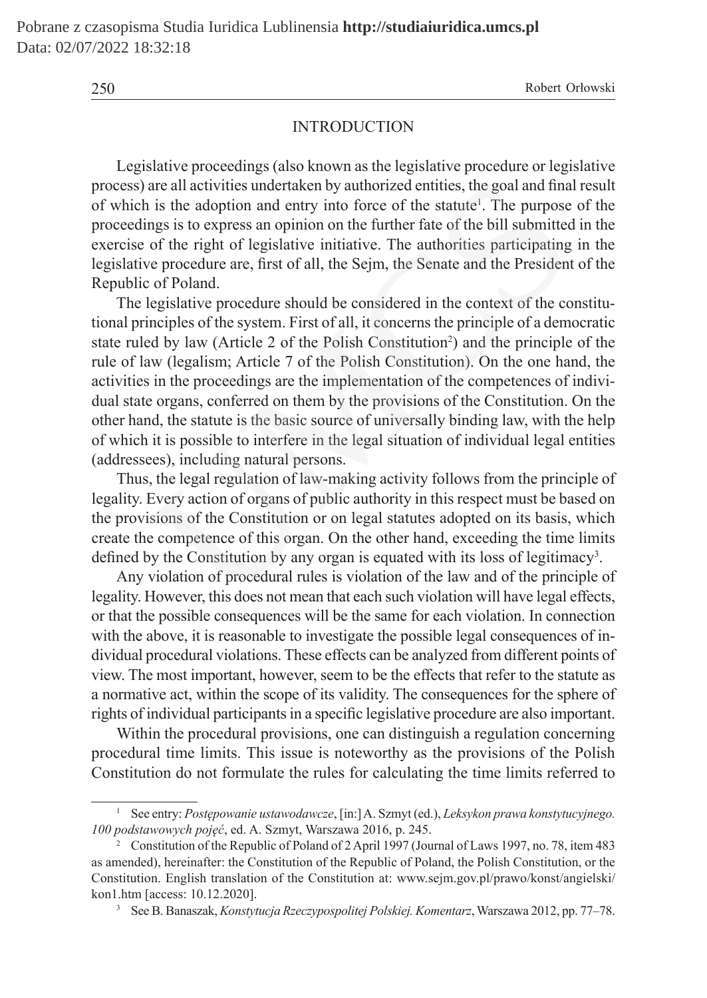### **INTRODUCTION**

Legislative proceedings (also known as the legislative procedure or legislative process) are all activities undertaken by authorized entities, the goal and final result of which is the adoption and entry into force of the statute<sup>1</sup>. The purpose of the proceedings is to express an opinion on the further fate of the bill submitted in the exercise of the right of legislative initiative. The authorities participating in the legislative procedure are, first of all, the Sejm, the Senate and the President of the Republic of Poland.

The legislative procedure should be considered in the context of the constitutional principles of the system. First of all, it concerns the principle of a democratic state ruled by law (Article 2 of the Polish Constitution<sup>2</sup>) and the principle of the rule of law (legalism; Article 7 of the Polish Constitution). On the one hand, the activities in the proceedings are the implementation of the competences of individual state organs, conferred on them by the provisions of the Constitution. On the other hand, the statute is the basic source of universally binding law, with the help of which it is possible to interfere in the legal situation of individual legal entities (addressees), including natural persons. are all activities undertaken by authorized entities, the goal and fina<br>is the adoption and entry into force of the statute<sup>1</sup>. The purpose<br>ngs is to express an opinion on the further fate of the bill submitted<br>of the righ

Thus, the legal regulation of law-making activity follows from the principle of legality. Every action of organs of public authority in this respect must be based on the provisions of the Constitution or on legal statutes adopted on its basis, which create the competence of this organ. On the other hand, exceeding the time limits defined by the Constitution by any organ is equated with its loss of legitimacy<sup>3</sup>.

Any violation of procedural rules is violation of the law and of the principle of legality. However, this does not mean that each such violation will have legal effects, or that the possible consequences will be the same for each violation. In connection with the above, it is reasonable to investigate the possible legal consequences of individual procedural violations. These effects can be analyzed from different points of view. The most important, however, seem to be the effects that refer to the statute as a normative act, within the scope of its validity. The consequences for the sphere of rights of individual participants in a specific legislative procedure are also important.

Within the procedural provisions, one can distinguish a regulation concerning procedural time limits. This issue is noteworthy as the provisions of the Polish Constitution do not formulate the rules for calculating the time limits referred to

<sup>1</sup> See entry: *Postępowanie ustawodawcze*, [in:] A. Szmyt (ed.), *Leksykon prawa konstytucyjnego. 100 podstawowych pojęć*, ed. A. Szmyt, Warszawa 2016, p. 245.

<sup>2</sup> Constitution of the Republic of Poland of 2 April 1997 (Journal of Laws 1997, no. 78, item 483 as amended), hereinafter: the Constitution of the Republic of Poland, the Polish Constitution, or the Constitution. English translation of the Constitution at: www.sejm.gov.pl/prawo/konst/angielski/ kon1.htm [access: 10.12.2020].

<sup>3</sup> See B. Banaszak, *Konstytucja Rzeczypospolitej Polskiej. Komentarz*, Warszawa 2012, pp. 77–78.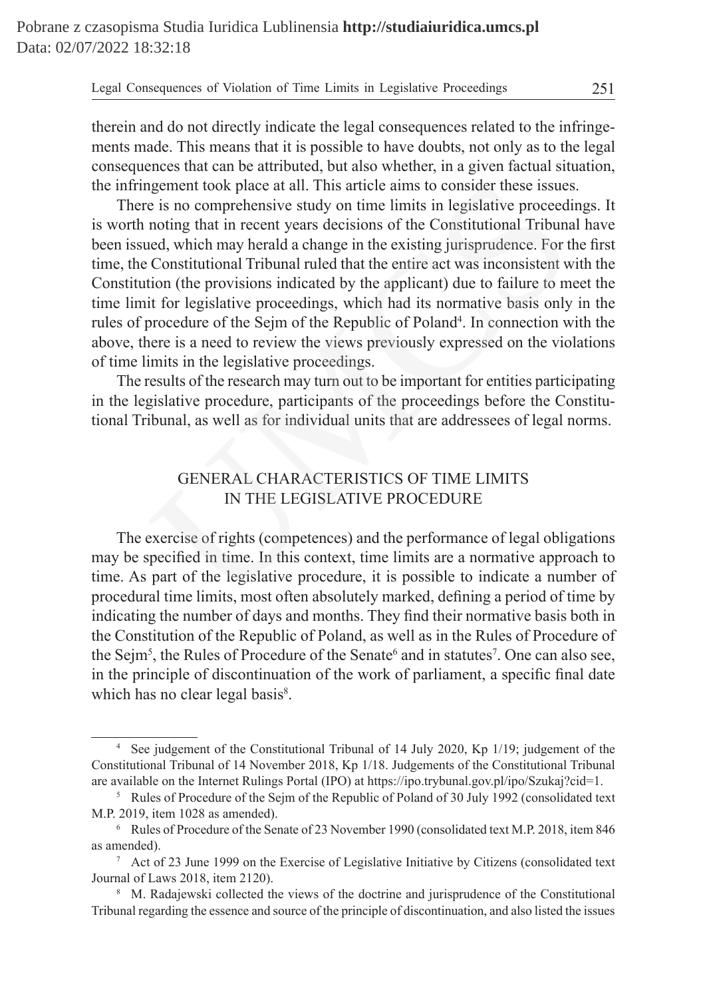therein and do not directly indicate the legal consequences related to the infringements made. This means that it is possible to have doubts, not only as to the legal consequences that can be attributed, but also whether, in a given factual situation, the infringement took place at all. This article aims to consider these issues.

There is no comprehensive study on time limits in legislative proceedings. It is worth noting that in recent years decisions of the Constitutional Tribunal have been issued, which may herald a change in the existing jurisprudence. For the first time, the Constitutional Tribunal ruled that the entire act was inconsistent with the Constitution (the provisions indicated by the applicant) due to failure to meet the time limit for legislative proceedings, which had its normative basis only in the rules of procedure of the Sejm of the Republic of Poland<sup>4</sup>. In connection with the above, there is a need to review the views previously expressed on the violations of time limits in the legislative proceedings. is a consider these issues<br>the aims to consider these issues<br>is no comprehensive study on time limits in legislative proceed<br>in thing that in recent years decisions of the Constitutional Tribuna<br>ted, which may hereld a cha

The results of the research may turn out to be important for entities participating in the legislative procedure, participants of the proceedings before the Constitutional Tribunal, as well as for individual units that are addressees of legal norms.

# GENERAL CHARACTERISTICS OF TIME LIMITS IN THE LEGISLATIVE PROCEDURE

The exercise of rights (competences) and the performance of legal obligations may be specified in time. In this context, time limits are a normative approach to time. As part of the legislative procedure, it is possible to indicate a number of procedural time limits, most often absolutely marked, defining a period of time by indicating the number of days and months. They find their normative basis both in the Constitution of the Republic of Poland, as well as in the Rules of Procedure of the Sejm<sup>5</sup>, the Rules of Procedure of the Senate<sup>6</sup> and in statutes<sup>7</sup>. One can also see, in the principle of discontinuation of the work of parliament, a specific final date which has no clear legal basis<sup>8</sup>.

<sup>4</sup> See judgement of the Constitutional Tribunal of 14 July 2020, Kp 1/19; judgement of the Constitutional Tribunal of 14 November 2018, Kp 1/18. Judgements of the Constitutional Tribunal are available on the Internet Rulings Portal (IPO) at https://ipo.trybunal.gov.pl/ipo/Szukaj?cid=1.

<sup>&</sup>lt;sup>5</sup> Rules of Procedure of the Sejm of the Republic of Poland of 30 July 1992 (consolidated text M.P. 2019, item 1028 as amended).

<sup>6</sup> Rules of Procedure of the Senate of 23 November 1990 (consolidated text M.P. 2018, item 846 as amended).

<sup>7</sup> Act of 23 June 1999 on the Exercise of Legislative Initiative by Citizens (consolidated text Journal of Laws 2018, item 2120).

<sup>8</sup> M. Radajewski collected the views of the doctrine and jurisprudence of the Constitutional Tribunal regarding the essence and source of the principle of discontinuation, and also listed the issues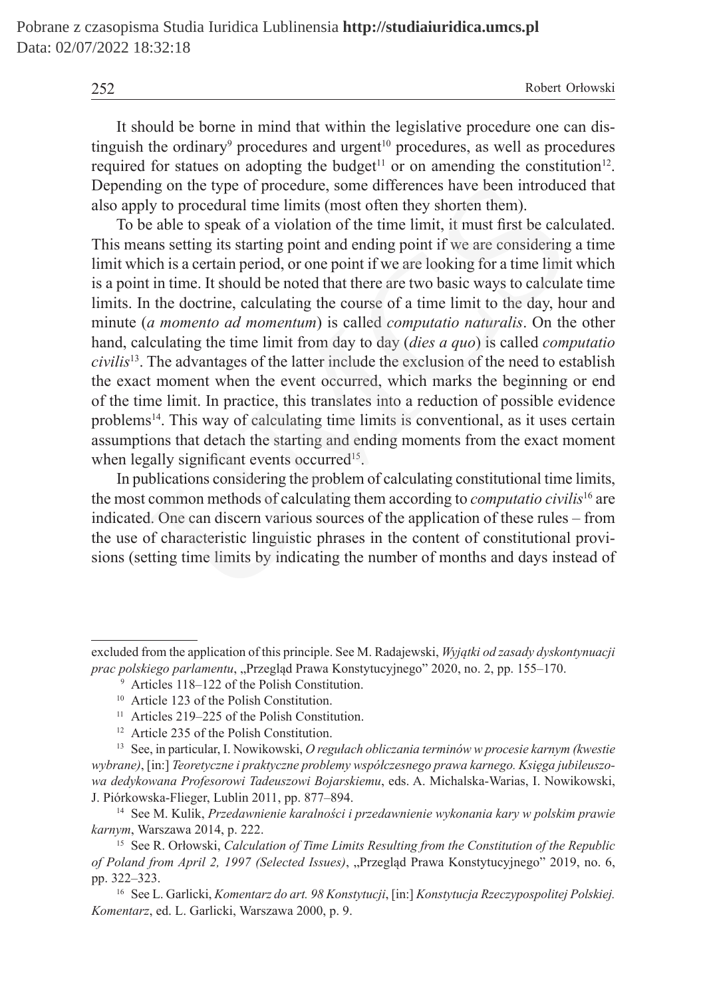It should be borne in mind that within the legislative procedure one can distinguish the ordinary<sup>9</sup> procedures and urgent<sup>10</sup> procedures, as well as procedures required for statues on adopting the budget<sup>11</sup> or on amending the constitution<sup>12</sup>. Depending on the type of procedure, some differences have been introduced that also apply to procedural time limits (most often they shorten them).

To be able to speak of a violation of the time limit, it must first be calculated. This means setting its starting point and ending point if we are considering a time limit which is a certain period, or one point if we are looking for a time limit which is a point in time. It should be noted that there are two basic ways to calculate time limits. In the doctrine, calculating the course of a time limit to the day, hour and minute (*a momento ad momentum*) is called *computatio naturalis*. On the other hand, calculating the time limit from day to day (*dies a quo*) is called *computatio civilis*13. The advantages of the latter include the exclusion of the need to establish the exact moment when the event occurred, which marks the beginning or end of the time limit. In practice, this translates into a reduction of possible evidence problems14. This way of calculating time limits is conventional, as it uses certain assumptions that detach the starting and ending moments from the exact moment when legally significant events occurred<sup>15</sup>. mg on the type of procedure, some differences have been introductly to procedural time limits (most often they shorten them).<br>
Le able to speak of a violation of the time limit, it must first be calce able to speak of a v

In publications considering the problem of calculating constitutional time limits, the most common methods of calculating them according to *computatio civilis*<sup>16</sup> are indicated. One can discern various sources of the application of these rules – from the use of characteristic linguistic phrases in the content of constitutional provisions (setting time limits by indicating the number of months and days instead of

excluded from the application of this principle. See M. Radajewski, *Wyjątki od zasady dyskontynuacji prac polskiego parlamentu*, "Przegląd Prawa Konstytucyjnego" 2020, no. 2, pp. 155–170.

<sup>9</sup> Articles 118–122 of the Polish Constitution.

<sup>&</sup>lt;sup>10</sup> Article 123 of the Polish Constitution.

 $11$  Articles 219–225 of the Polish Constitution.

<sup>12</sup> Article 235 of the Polish Constitution.

<sup>13</sup> See, in particular, I. Nowikowski, *O regułach obliczania terminów w procesie karnym (kwestie wybrane)*, [in:] *Teoretyczne i praktyczne problemy współczesnego prawa karnego. Księga jubileuszowa dedykowana Profesorowi Tadeuszowi Bojarskiemu*, eds. A. Michalska-Warias, I. Nowikowski, J. Piórkowska-Flieger, Lublin 2011, pp. 877–894.

<sup>14</sup> See M. Kulik, *Przedawnienie karalności i przedawnienie wykonania kary w polskim prawie karnym*, Warszawa 2014, p. 222.

<sup>15</sup> See R. Orłowski, *Calculation of Time Limits Resulting from the Constitution of the Republic of Poland from April 2, 1997 (Selected Issues)*, "Przegląd Prawa Konstytucyjnego" 2019, no. 6, pp. 322–323.

<sup>16</sup> See L. Garlicki, *Komentarz do art. 98 Konstytucji*, [in:] *Konstytucja Rzeczypospolitej Polskiej. Komentarz*, ed. L. Garlicki, Warszawa 2000, p. 9.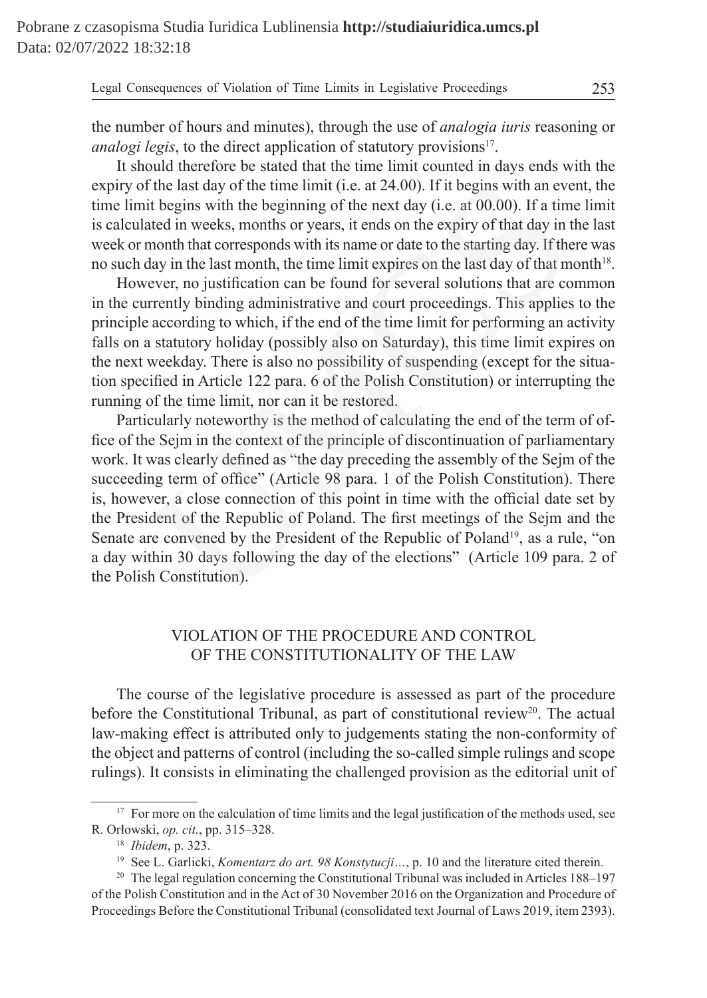the number of hours and minutes), through the use of *analogia iuris* reasoning or *analogi legis*, to the direct application of statutory provisions<sup>17</sup>.

It should therefore be stated that the time limit counted in days ends with the expiry of the last day of the time limit (i.e. at 24.00). If it begins with an event, the time limit begins with the beginning of the next day (i.e. at 00.00). If a time limit is calculated in weeks, months or years, it ends on the expiry of that day in the last week or month that corresponds with its name or date to the starting day. If there was no such day in the last month, the time limit expires on the last day of that month<sup>18</sup>.

However, no justification can be found for several solutions that are common in the currently binding administrative and court proceedings. This applies to the principle according to which, if the end of the time limit for performing an activity falls on a statutory holiday (possibly also on Saturday), this time limit expires on the next weekday. There is also no possibility of suspending (except for the situation specified in Article 122 para. 6 of the Polish Constitution) or interrupting the running of the time limit, nor can it be restored.

Particularly noteworthy is the method of calculating the end of the term of office of the Sejm in the context of the principle of discontinuation of parliamentary work. It was clearly defined as "the day preceding the assembly of the Sejm of the succeeding term of office" (Article 98 para. 1 of the Polish Constitution). There is, however, a close connection of this point in time with the official date set by the President of the Republic of Poland. The first meetings of the Sejm and the Senate are convened by the President of the Republic of Poland<sup>19</sup>, as a rule, "on a day within 30 days following the day of the elections" (Article 109 para. 2 of the Polish Constitution). If the last day of the time limit (i.e. at 24.00). If it begins with an eve<br>it begins with the beginning of the next day (i.e. at 00.00). If a tim<br>ated in weeks, months or years, it ends on the expiry of that day in<br>month

## VIOLATION OF THE PROCEDURE AND CONTROL OF THE CONSTITUTIONALITY OF THE LAW

The course of the legislative procedure is assessed as part of the procedure before the Constitutional Tribunal, as part of constitutional review<sup>20</sup>. The actual law-making effect is attributed only to judgements stating the non-conformity of the object and patterns of control (including the so-called simple rulings and scope rulings). It consists in eliminating the challenged provision as the editorial unit of

<sup>&</sup>lt;sup>17</sup> For more on the calculation of time limits and the legal justification of the methods used, see R. Orłowski, *op. cit.*, pp. 315–328.

<sup>18</sup> *Ibidem*, p. 323.

<sup>19</sup> See L. Garlicki, *Komentarz do art. 98 Konstytucji…*, p. 10 and the literature cited therein.

<sup>&</sup>lt;sup>20</sup> The legal regulation concerning the Constitutional Tribunal was included in Articles 188–197 of the Polish Constitution and in the Act of 30 November 2016 on the Organization and Procedure of Proceedings Before the Constitutional Tribunal (consolidated text Journal of Laws 2019, item 2393).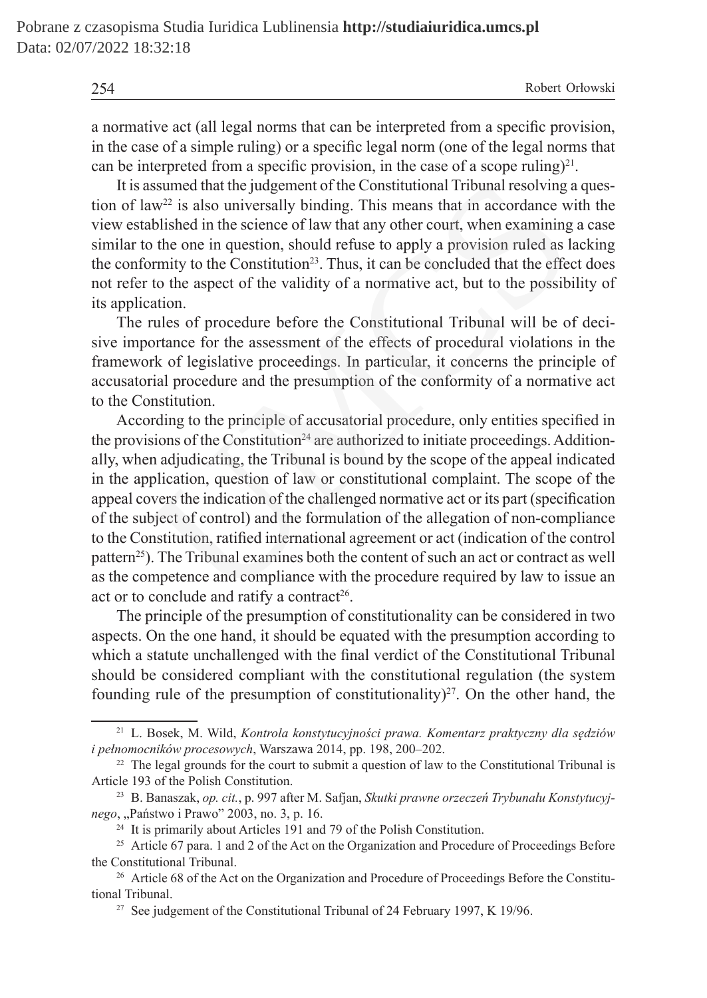a normative act (all legal norms that can be interpreted from a specific provision, in the case of a simple ruling) or a specific legal norm (one of the legal norms that can be interpreted from a specific provision, in the case of a scope ruling)<sup>21</sup>.

It is assumed that the judgement of the Constitutional Tribunal resolving a question of law<sup>22</sup> is also universally binding. This means that in accordance with the view established in the science of law that any other court, when examining a case similar to the one in question, should refuse to apply a provision ruled as lacking the conformity to the Constitution<sup>23</sup>. Thus, it can be concluded that the effect does not refer to the aspect of the validity of a normative act, but to the possibility of its application.

The rules of procedure before the Constitutional Tribunal will be of decisive importance for the assessment of the effects of procedural violations in the framework of legislative proceedings. In particular, it concerns the principle of accusatorial procedure and the presumption of the conformity of a normative act to the Constitution.

According to the principle of accusatorial procedure, only entities specified in the provisions of the Constitution<sup>24</sup> are authorized to initiate proceedings. Additionally, when adjudicating, the Tribunal is bound by the scope of the appeal indicated in the application, question of law or constitutional complaint. The scope of the appeal covers the indication of the challenged normative act or its part (specification of the subject of control) and the formulation of the allegation of non-compliance to the Constitution, ratified international agreement or act (indication of the control pattern<sup>25</sup>). The Tribunal examines both the content of such an act or contract as well as the competence and compliance with the procedure required by law to issue an act or to conclude and ratify a contract<sup>26</sup>. assumed that the judgement of the Constitutional Tribunal resolving a<br>susumed that the judgement of the Constitutional Tribunal resolving a<br>w<sup>22</sup> is also universally binding. This means that in accordance w<br>ablished in th

The principle of the presumption of constitutionality can be considered in two aspects. On the one hand, it should be equated with the presumption according to which a statute unchallenged with the final verdict of the Constitutional Tribunal should be considered compliant with the constitutional regulation (the system founding rule of the presumption of constitutionality)<sup>27</sup>. On the other hand, the

<sup>21</sup> L. Bosek, M. Wild, *Kontrola konstytucyjności prawa. Komentarz praktyczny dla sędziów i pełnomocników procesowych*, Warszawa 2014, pp. 198, 200–202.

<sup>&</sup>lt;sup>22</sup> The legal grounds for the court to submit a question of law to the Constitutional Tribunal is Article 193 of the Polish Constitution.

<sup>23</sup> B. Banaszak, *op. cit.*, p. 997 after M. Safjan, *Skutki prawne orzeczeń Trybunału Konstytucyjnego*, "Państwo i Prawo" 2003, no. 3, p. 16.

<sup>&</sup>lt;sup>24</sup> It is primarily about Articles 191 and 79 of the Polish Constitution.

<sup>&</sup>lt;sup>25</sup> Article 67 para. 1 and 2 of the Act on the Organization and Procedure of Proceedings Before the Constitutional Tribunal.

<sup>&</sup>lt;sup>26</sup> Article 68 of the Act on the Organization and Procedure of Proceedings Before the Constitutional Tribunal.

<sup>&</sup>lt;sup>27</sup> See judgement of the Constitutional Tribunal of 24 February 1997, K 19/96.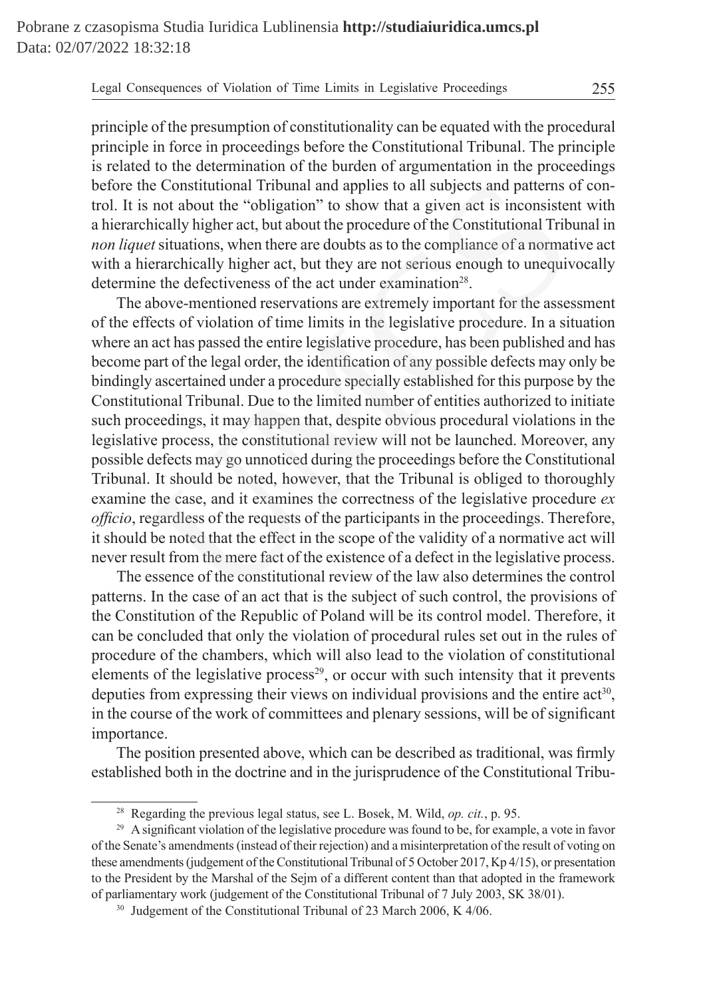principle of the presumption of constitutionality can be equated with the procedural principle in force in proceedings before the Constitutional Tribunal. The principle is related to the determination of the burden of argumentation in the proceedings before the Constitutional Tribunal and applies to all subjects and patterns of control. It is not about the "obligation" to show that a given act is inconsistent with a hierarchically higher act, but about the procedure of the Constitutional Tribunal in *non liquet* situations, when there are doubts as to the compliance of a normative act with a hierarchically higher act, but they are not serious enough to unequivocally determine the defectiveness of the act under examination<sup>28</sup>.

The above-mentioned reservations are extremely important for the assessment of the effects of violation of time limits in the legislative procedure. In a situation where an act has passed the entire legislative procedure, has been published and has become part of the legal order, the identification of any possible defects may only be bindingly ascertained under a procedure specially established for this purpose by the Constitutional Tribunal. Due to the limited number of entities authorized to initiate such proceedings, it may happen that, despite obvious procedural violations in the legislative process, the constitutional review will not be launched. Moreover, any possible defects may go unnoticed during the proceedings before the Constitutional Tribunal. It should be noted, however, that the Tribunal is obliged to thoroughly examine the case, and it examines the correctness of the legislative procedure *ex officio*, regardless of the requests of the participants in the proceedings. Therefore, it should be noted that the effect in the scope of the validity of a normative act will never result from the mere fact of the existence of a defect in the legislative process. is constitutional Tribunal and applies to all subjects and patterns in to about the "obligation" to show that a given act is inconsisted hically higher act, but about the procedure of the Constitutional Tribunest et situat

The essence of the constitutional review of the law also determines the control patterns. In the case of an act that is the subject of such control, the provisions of the Constitution of the Republic of Poland will be its control model. Therefore, it can be concluded that only the violation of procedural rules set out in the rules of procedure of the chambers, which will also lead to the violation of constitutional elements of the legislative process<sup>29</sup>, or occur with such intensity that it prevents deputies from expressing their views on individual provisions and the entire  $act<sup>30</sup>$ , in the course of the work of committees and plenary sessions, will be of significant importance.

The position presented above, which can be described as traditional, was firmly established both in the doctrine and in the jurisprudence of the Constitutional Tribu-

<sup>28</sup> Regarding the previous legal status, see L. Bosek, M. Wild, *op. cit.*, p. 95.

<sup>&</sup>lt;sup>29</sup> A significant violation of the legislative procedure was found to be, for example, a vote in favor of the Senate's amendments (instead of their rejection) and a misinterpretation of the result of voting on these amendments (judgement of the Constitutional Tribunal of 5 October 2017, Kp 4/15), or presentation to the President by the Marshal of the Sejm of a different content than that adopted in the framework of parliamentary work (judgement of the Constitutional Tribunal of 7 July 2003, SK 38/01).

<sup>&</sup>lt;sup>30</sup> Judgement of the Constitutional Tribunal of 23 March 2006, K 4/06.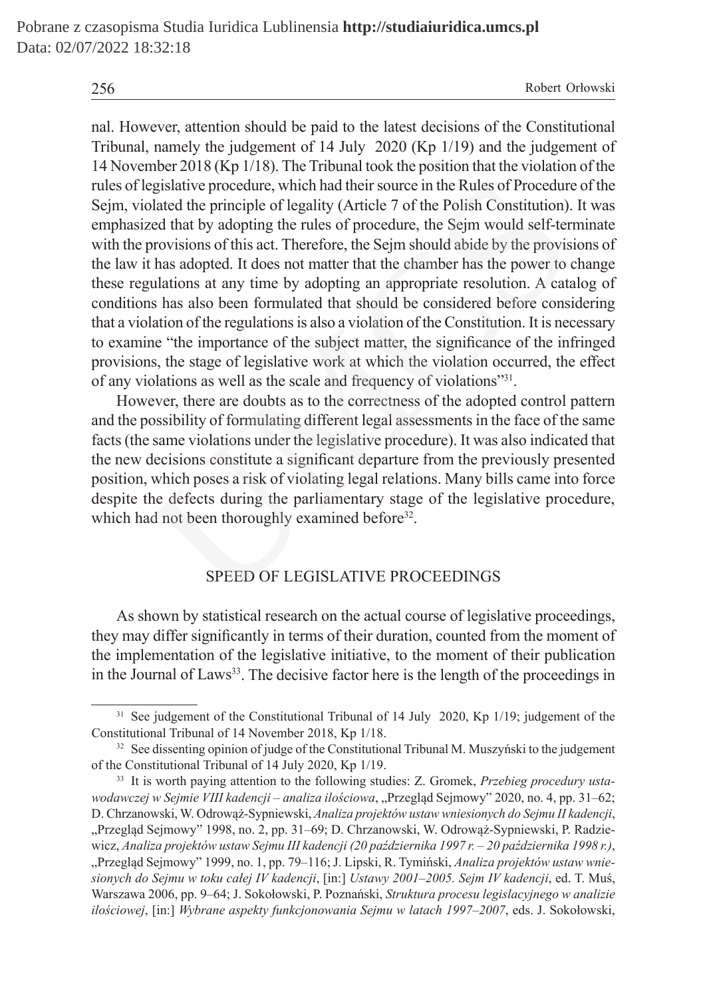nal. However, attention should be paid to the latest decisions of the Constitutional Tribunal, namely the judgement of 14 July 2020 (Kp 1/19) and the judgement of 14 November 2018 (Kp 1/18). The Tribunal took the position that the violation of the rules of legislative procedure, which had their source in the Rules of Procedure of the Sejm, violated the principle of legality (Article 7 of the Polish Constitution). It was emphasized that by adopting the rules of procedure, the Sejm would self-terminate with the provisions of this act. Therefore, the Sejm should abide by the provisions of the law it has adopted. It does not matter that the chamber has the power to change these regulations at any time by adopting an appropriate resolution. A catalog of conditions has also been formulated that should be considered before considering that a violation of the regulations is also a violation of the Constitution. It is necessary to examine "the importance of the subject matter, the significance of the infringed provisions, the stage of legislative work at which the violation occurred, the effect of any violations as well as the scale and frequency of violations"31. egislative procedure, which had their source in the Rules of Proceduro<br>lated the principle of legality (Article 7 of the Polish Constitution).<br>zed that by adopting the rules of procedure, the Sejm would self-ter<br>provisions

However, there are doubts as to the correctness of the adopted control pattern and the possibility of formulating different legal assessments in the face of the same facts (the same violations under the legislative procedure). It was also indicated that the new decisions constitute a significant departure from the previously presented position, which poses a risk of violating legal relations. Many bills came into force despite the defects during the parliamentary stage of the legislative procedure, which had not been thoroughly examined before<sup>32</sup>.

## SPEED OF LEGISLATIVE PROCEEDINGS

As shown by statistical research on the actual course of legislative proceedings, they may differ significantly in terms of their duration, counted from the moment of the implementation of the legislative initiative, to the moment of their publication in the Journal of Laws<sup>33</sup>. The decisive factor here is the length of the proceedings in

<sup>&</sup>lt;sup>31</sup> See judgement of the Constitutional Tribunal of 14 July 2020, Kp 1/19; judgement of the Constitutional Tribunal of 14 November 2018, Kp 1/18.

<sup>&</sup>lt;sup>32</sup> See dissenting opinion of judge of the Constitutional Tribunal M. Muszyński to the judgement of the Constitutional Tribunal of 14 July 2020, Kp 1/19.

<sup>33</sup> It is worth paying attention to the following studies: Z. Gromek, *Przebieg procedury ustawodawczej w Sejmie VIII kadencji – analiza ilościowa*, "Przegląd Sejmowy" 2020, no. 4, pp. 31–62; D. Chrzanowski, W. Odrowąż-Sypniewski, *Analiza projektów ustaw wniesionych do Sejmu II kadencji*, "Przegląd Sejmowy" 1998, no. 2, pp. 31–69; D. Chrzanowski, W. Odrowąż-Sypniewski, P. Radziewicz, *Analiza projektów ustaw Sejmu III kadencji (20 października 1997 r. – 20 października 1998 r.)*, "Przegląd Sejmowy" 1999, no. 1, pp. 79–116; J. Lipski, R. Tymiński, *Analiza projektów ustaw wniesionych do Sejmu w toku całej IV kadencji*, [in:] *Ustawy 2001–2005. Sejm IV kadencji*, ed. T. Muś, Warszawa 2006, pp. 9–64; J. Sokołowski, P. Poznański, *Struktura procesu legislacyjnego w analizie ilościowej*, [in:] *Wybrane aspekty funkcjonowania Sejmu w latach 1997–2007*, eds. J. Sokołowski,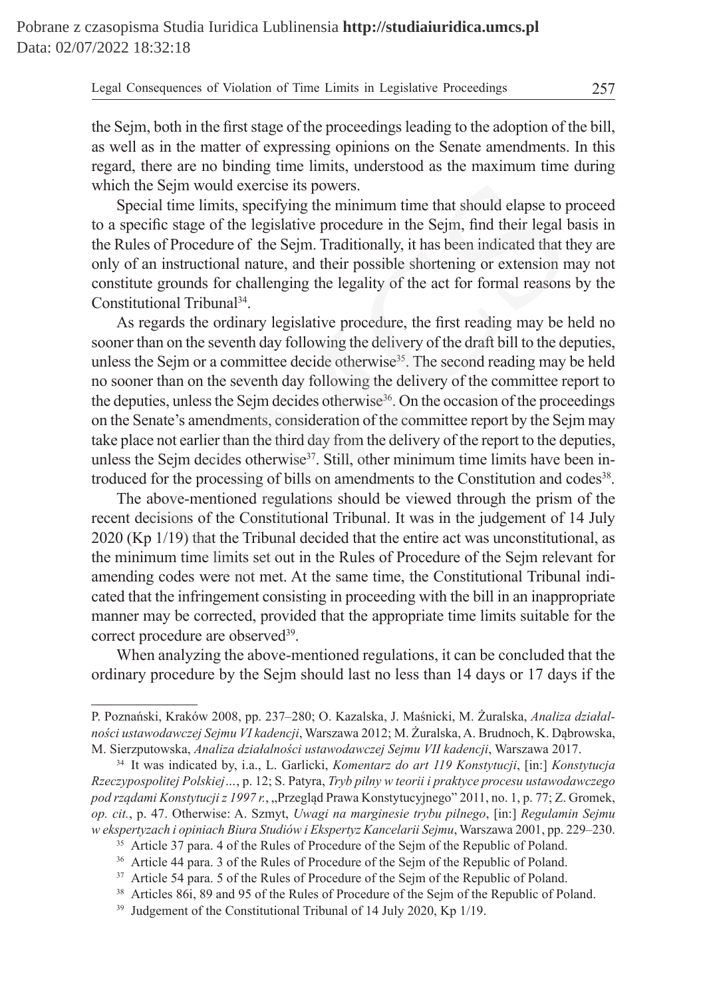the Sejm, both in the first stage of the proceedings leading to the adoption of the bill, as well as in the matter of expressing opinions on the Senate amendments. In this regard, there are no binding time limits, understood as the maximum time during which the Seim would exercise its powers.

Special time limits, specifying the minimum time that should elapse to proceed to a specific stage of the legislative procedure in the Sejm, find their legal basis in the Rules of Procedure of the Sejm. Traditionally, it has been indicated that they are only of an instructional nature, and their possible shortening or extension may not constitute grounds for challenging the legality of the act for formal reasons by the Constitutional Tribunal<sup>34</sup>.

As regards the ordinary legislative procedure, the first reading may be held no sooner than on the seventh day following the delivery of the draft bill to the deputies, unless the Sejm or a committee decide otherwise<sup>35</sup>. The second reading may be held no sooner than on the seventh day following the delivery of the committee report to the deputies, unless the Seim decides otherwise<sup>36</sup>. On the occasion of the proceedings on the Senate's amendments, consideration of the committee report by the Sejm may take place not earlier than the third day from the delivery of the report to the deputies, unless the Sejm decides otherwise<sup>37</sup>. Still, other minimum time limits have been introduced for the processing of bills on amendments to the Constitution and codes38. e Sejm would exercise its powers.<br>ial time limits, specifying the mininum time that should elapse to p<br>tific stage of the legislative procedure in the Sejm, find their legal b<br>fic stage of the legislative procedure in the

The above-mentioned regulations should be viewed through the prism of the recent decisions of the Constitutional Tribunal. It was in the judgement of 14 July 2020 (Kp 1/19) that the Tribunal decided that the entire act was unconstitutional, as the minimum time limits set out in the Rules of Procedure of the Sejm relevant for amending codes were not met. At the same time, the Constitutional Tribunal indicated that the infringement consisting in proceeding with the bill in an inappropriate manner may be corrected, provided that the appropriate time limits suitable for the correct procedure are observed<sup>39</sup>.

When analyzing the above-mentioned regulations, it can be concluded that the ordinary procedure by the Sejm should last no less than 14 days or 17 days if the

P. Poznański, Kraków 2008, pp. 237–280; O. Kazalska, J. Maśnicki, M. Żuralska, *Analiza działalności ustawodawczej Sejmu VI kadencji*, Warszawa 2012; M. Żuralska, A. Brudnoch, K. Dąbrowska, M. Sierzputowska, *Analiza działalności ustawodawczej Sejmu VII kadencji*, Warszawa 2017.

<sup>34</sup> It was indicated by, i.a., L. Garlicki, *Komentarz do art 119 Konstytucji*, [in:] *Konstytucja Rzeczypospolitej Polskiej…*, p. 12; S. Patyra, *Tryb pilny w teorii i praktyce procesu ustawodawczego pod rządami Konstytucji z 1997 r.*, "Przegląd Prawa Konstytucyjnego" 2011, no. 1, p. 77; Z. Gromek, *op. cit.*, p. 47. Otherwise: A. Szmyt, *Uwagi na marginesie trybu pilnego*, [in:] *Regulamin Sejmu w ekspertyzach i opiniach Biura Studiów i Ekspertyz Kancelarii Sejmu*, Warszawa 2001, pp. 229–230.

<sup>&</sup>lt;sup>35</sup> Article 37 para. 4 of the Rules of Procedure of the Sejm of the Republic of Poland.

<sup>36</sup> Article 44 para. 3 of the Rules of Procedure of the Sejm of the Republic of Poland.

<sup>&</sup>lt;sup>37</sup> Article 54 para. 5 of the Rules of Procedure of the Sejm of the Republic of Poland.

<sup>38</sup> Articles 86i, 89 and 95 of the Rules of Procedure of the Sejm of the Republic of Poland.

<sup>&</sup>lt;sup>39</sup> Judgement of the Constitutional Tribunal of 14 July 2020, Kp 1/19.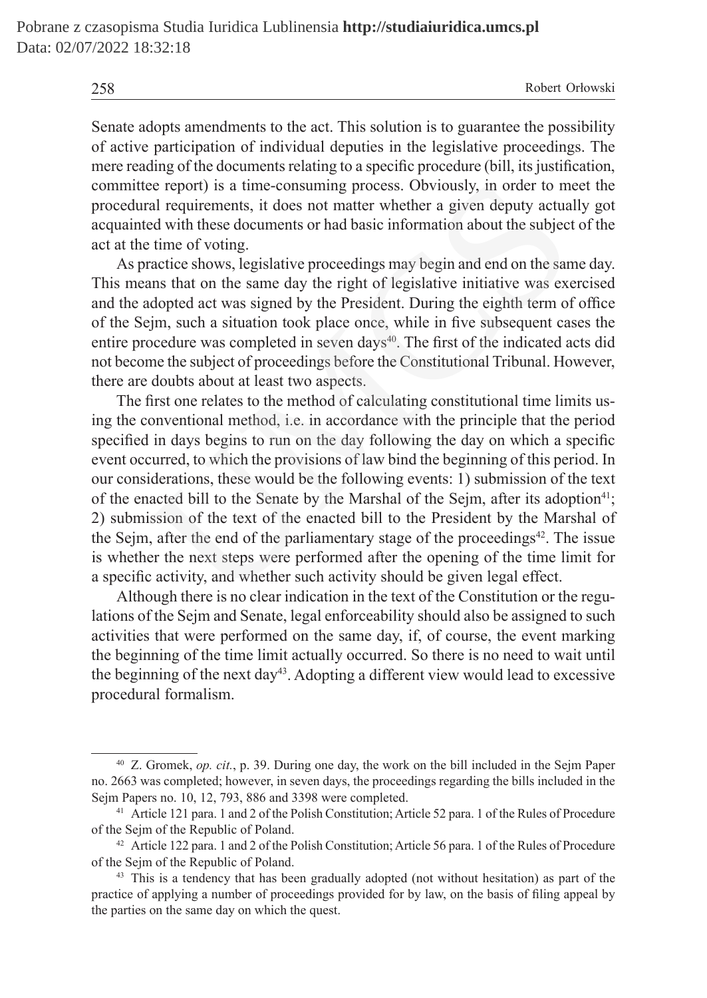258 Robert Orłowski

Senate adopts amendments to the act. This solution is to guarantee the possibility of active participation of individual deputies in the legislative proceedings. The mere reading of the documents relating to a specific procedure (bill, its justification, committee report) is a time-consuming process. Obviously, in order to meet the procedural requirements, it does not matter whether a given deputy actually got acquainted with these documents or had basic information about the subject of the act at the time of voting.

As practice shows, legislative proceedings may begin and end on the same day. This means that on the same day the right of legislative initiative was exercised and the adopted act was signed by the President. During the eighth term of office of the Sejm, such a situation took place once, while in five subsequent cases the entire procedure was completed in seven days<sup>40</sup>. The first of the indicated acts did not become the subject of proceedings before the Constitutional Tribunal. However, there are doubts about at least two aspects.

The first one relates to the method of calculating constitutional time limits using the conventional method, i.e. in accordance with the principle that the period specified in days begins to run on the day following the day on which a specific event occurred, to which the provisions of law bind the beginning of this period. In our considerations, these would be the following events: 1) submission of the text of the enacted bill to the Senate by the Marshal of the Sejm, after its adoption<sup>41</sup>; 2) submission of the text of the enacted bill to the President by the Marshal of the Sejm, after the end of the parliamentary stage of the proceedings<sup>42</sup>. The issue is whether the next steps were performed after the opening of the time limit for a specific activity, and whether such activity should be given legal effect. ee report) is a time-consuming process. Obviously, in order to m<br>al requirements, it does not matter whether a given deputy actua<br>ed with these documents or had basic information about the subject<br>et time of voting.<br>ratcic

Although there is no clear indication in the text of the Constitution or the regulations of the Sejm and Senate, legal enforceability should also be assigned to such activities that were performed on the same day, if, of course, the event marking the beginning of the time limit actually occurred. So there is no need to wait until the beginning of the next  $day^{43}$ . Adopting a different view would lead to excessive procedural formalism.

<sup>40</sup> Z. Gromek, *op. cit.*, p. 39. During one day, the work on the bill included in the Sejm Paper no. 2663 was completed; however, in seven days, the proceedings regarding the bills included in the Sejm Papers no. 10, 12, 793, 886 and 3398 were completed.

<sup>41</sup> Article 121 para. 1 and 2 of the Polish Constitution; Article 52 para. 1 of the Rules of Procedure of the Sejm of the Republic of Poland.

<sup>42</sup> Article 122 para. 1 and 2 of the Polish Constitution; Article 56 para. 1 of the Rules of Procedure of the Sejm of the Republic of Poland.

<sup>&</sup>lt;sup>43</sup> This is a tendency that has been gradually adopted (not without hesitation) as part of the practice of applying a number of proceedings provided for by law, on the basis of filing appeal by the parties on the same day on which the quest.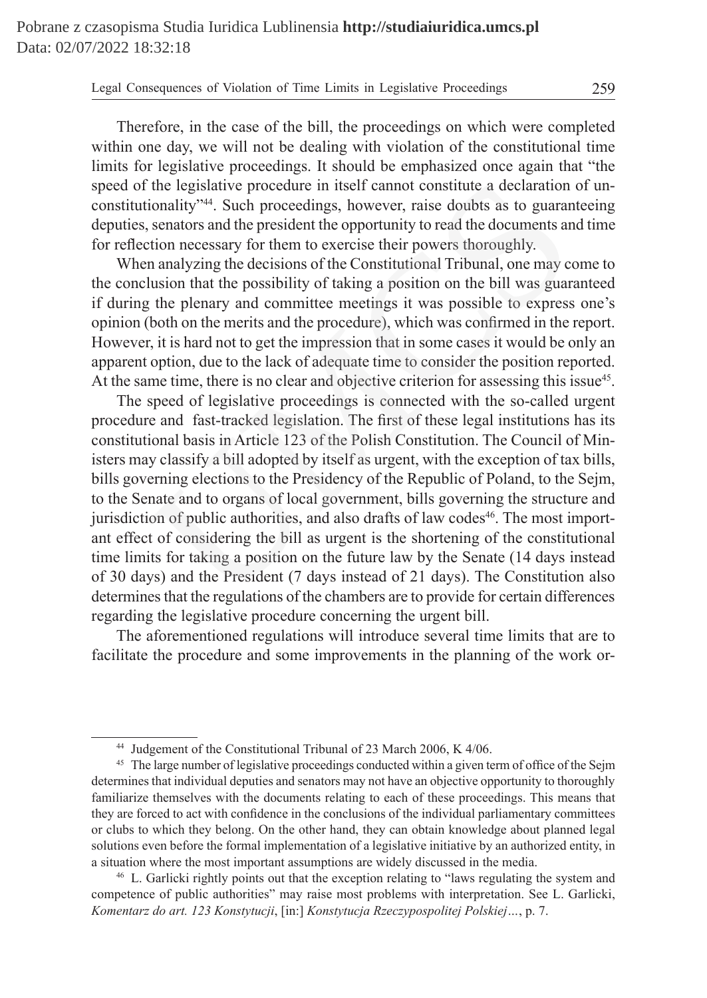Therefore, in the case of the bill, the proceedings on which were completed within one day, we will not be dealing with violation of the constitutional time limits for legislative proceedings. It should be emphasized once again that "the speed of the legislative procedure in itself cannot constitute a declaration of unconstitutionality"44. Such proceedings, however, raise doubts as to guaranteeing deputies, senators and the president the opportunity to read the documents and time for reflection necessary for them to exercise their powers thoroughly.

When analyzing the decisions of the Constitutional Tribunal, one may come to the conclusion that the possibility of taking a position on the bill was guaranteed if during the plenary and committee meetings it was possible to express one's opinion (both on the merits and the procedure), which was confirmed in the report. However, it is hard not to get the impression that in some cases it would be only an apparent option, due to the lack of adequate time to consider the position reported. At the same time, there is no clear and objective criterion for assessing this issue<sup>45</sup>.

The speed of legislative proceedings is connected with the so-called urgent procedure and fast-tracked legislation. The first of these legal institutions has its constitutional basis in Article 123 of the Polish Constitution. The Council of Ministers may classify a bill adopted by itself as urgent, with the exception of tax bills, bills governing elections to the Presidency of the Republic of Poland, to the Sejm, to the Senate and to organs of local government, bills governing the structure and jurisdiction of public authorities, and also drafts of law codes<sup>46</sup>. The most important effect of considering the bill as urgent is the shortening of the constitutional time limits for taking a position on the future law by the Senate (14 days instead of 30 days) and the President (7 days instead of 21 days). The Constitution also determines that the regulations of the chambers are to provide for certain differences regarding the legislative procedure concerning the urgent bill. The legislative procedure in itself cannot constitute a declaration<br>ionality<sup>744</sup>. Such proceedings, however, raise doubts as to guarar<br>senators and the president the opportunity to read the documents ar<br>senators and the

The aforementioned regulations will introduce several time limits that are to facilitate the procedure and some improvements in the planning of the work or-

<sup>44</sup> Judgement of the Constitutional Tribunal of 23 March 2006, K 4/06.

<sup>&</sup>lt;sup>45</sup> The large number of legislative proceedings conducted within a given term of office of the Sejm determines that individual deputies and senators may not have an objective opportunity to thoroughly familiarize themselves with the documents relating to each of these proceedings. This means that they are forced to act with confidence in the conclusions of the individual parliamentary committees or clubs to which they belong. On the other hand, they can obtain knowledge about planned legal solutions even before the formal implementation of a legislative initiative by an authorized entity, in a situation where the most important assumptions are widely discussed in the media.

<sup>46</sup> L. Garlicki rightly points out that the exception relating to "laws regulating the system and competence of public authorities" may raise most problems with interpretation. See L. Garlicki, *Komentarz do art. 123 Konstytucji*, [in:] *Konstytucja Rzeczypospolitej Polskiej…*, p. 7.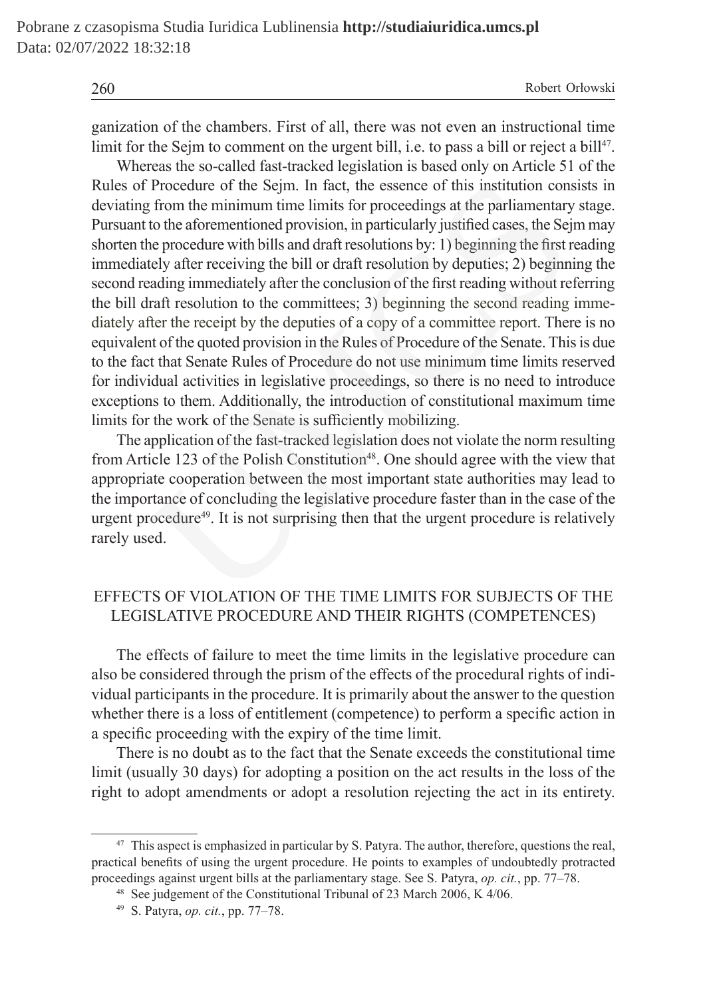260 Robert Orłowski

ganization of the chambers. First of all, there was not even an instructional time limit for the Sejm to comment on the urgent bill, i.e. to pass a bill or reject a bill<sup>47</sup>.

Whereas the so-called fast-tracked legislation is based only on Article 51 of the Rules of Procedure of the Sejm. In fact, the essence of this institution consists in deviating from the minimum time limits for proceedings at the parliamentary stage. Pursuant to the aforementioned provision, in particularly justified cases, the Sejm may shorten the procedure with bills and draft resolutions by: 1) beginning the first reading immediately after receiving the bill or draft resolution by deputies; 2) beginning the second reading immediately after the conclusion of the first reading without referring the bill draft resolution to the committees; 3) beginning the second reading immediately after the receipt by the deputies of a copy of a committee report. There is no equivalent of the quoted provision in the Rules of Procedure of the Senate. This is due to the fact that Senate Rules of Procedure do not use minimum time limits reserved for individual activities in legislative proceedings, so there is no need to introduce exceptions to them. Additionally, the introduction of constitutional maximum time limits for the work of the Senate is sufficiently mobilizing. Procedure of the Sejm. In fact, the essence of this institution cons<br>from the minimum time limits for proceedings at the parliamentary<br>to the aforementioned provision, in particularly justified cases, the Sej<br>e procedure w

The application of the fast-tracked legislation does not violate the norm resulting from Article 123 of the Polish Constitution<sup>48</sup>. One should agree with the view that appropriate cooperation between the most important state authorities may lead to the importance of concluding the legislative procedure faster than in the case of the urgent procedure $49$ . It is not surprising then that the urgent procedure is relatively rarely used.

# EFFECTS OF VIOLATION OF THE TIME LIMITS FOR SUBJECTS OF THE LEGISLATIVE PROCEDURE AND THEIR RIGHTS (COMPETENCES)

The effects of failure to meet the time limits in the legislative procedure can also be considered through the prism of the effects of the procedural rights of individual participants in the procedure. It is primarily about the answer to the question whether there is a loss of entitlement (competence) to perform a specific action in a specific proceeding with the expiry of the time limit.

There is no doubt as to the fact that the Senate exceeds the constitutional time limit (usually 30 days) for adopting a position on the act results in the loss of the right to adopt amendments or adopt a resolution rejecting the act in its entirety.

<sup>&</sup>lt;sup>47</sup> This aspect is emphasized in particular by S. Patyra. The author, therefore, questions the real, practical benefits of using the urgent procedure. He points to examples of undoubtedly protracted proceedings against urgent bills at the parliamentary stage. See S. Patyra, *op. cit.*, pp. 77–78.

<sup>48</sup> See judgement of the Constitutional Tribunal of 23 March 2006, K 4/06.

<sup>49</sup> S. Patyra, *op. cit.*, pp. 77–78.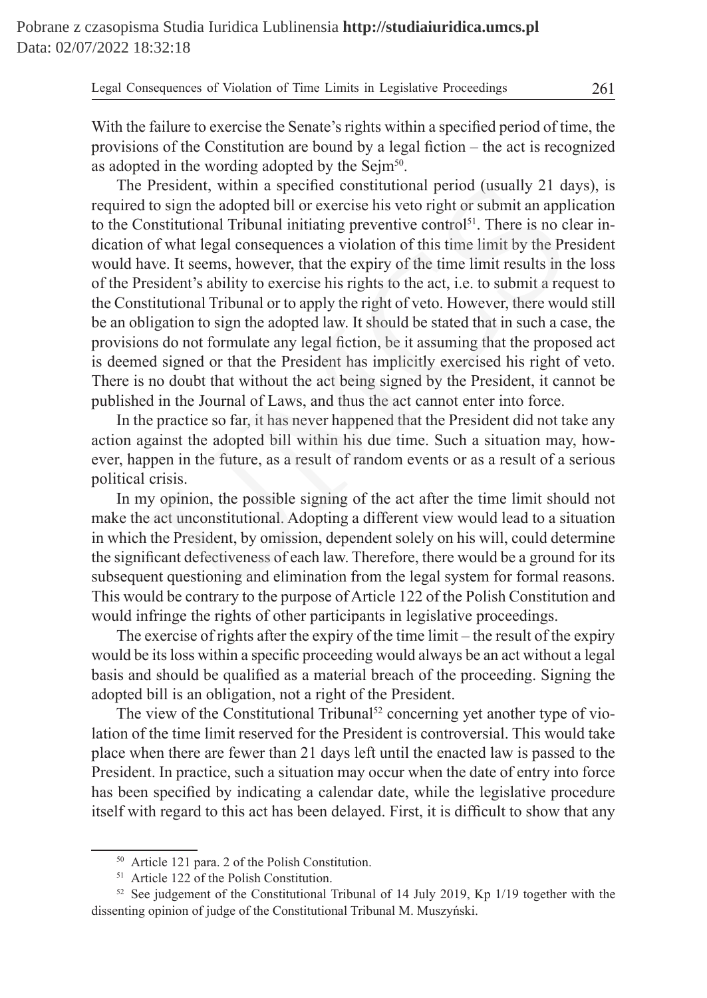The President, within a specified constitutional period (usually 21 days), is required to sign the adopted bill or exercise his veto right or submit an application to the Constitutional Tribunal initiating preventive control<sup>51</sup>. There is no clear indication of what legal consequences a violation of this time limit by the President would have. It seems, however, that the expiry of the time limit results in the loss of the President's ability to exercise his rights to the act, i.e. to submit a request to the Constitutional Tribunal or to apply the right of veto. However, there would still be an obligation to sign the adopted law. It should be stated that in such a case, the provisions do not formulate any legal fiction, be it assuming that the proposed act is deemed signed or that the President has implicitly exercised his right of veto. There is no doubt that without the act being signed by the President, it cannot be published in the Journal of Laws, and thus the act cannot enter into force. President, within a specified constitutional period (usually 21 da<br>to sign the adopted bill or exercise his veto right or submit an appl<br>onstitutional Tribunal initiating preventive control<sup>51</sup>. There is no cl<br>of what lega

In the practice so far, it has never happened that the President did not take any action against the adopted bill within his due time. Such a situation may, however, happen in the future, as a result of random events or as a result of a serious political crisis.

In my opinion, the possible signing of the act after the time limit should not make the act unconstitutional. Adopting a different view would lead to a situation in which the President, by omission, dependent solely on his will, could determine the significant defectiveness of each law. Therefore, there would be a ground for its subsequent questioning and elimination from the legal system for formal reasons. This would be contrary to the purpose of Article 122 of the Polish Constitution and would infringe the rights of other participants in legislative proceedings.

The exercise of rights after the expiry of the time limit – the result of the expiry would be its loss within a specific proceeding would always be an act without a legal basis and should be qualified as a material breach of the proceeding. Signing the adopted bill is an obligation, not a right of the President.

The view of the Constitutional Tribunal<sup>52</sup> concerning yet another type of violation of the time limit reserved for the President is controversial. This would take place when there are fewer than 21 days left until the enacted law is passed to the President. In practice, such a situation may occur when the date of entry into force has been specified by indicating a calendar date, while the legislative procedure itself with regard to this act has been delayed. First, it is difficult to show that any

<sup>50</sup> Article 121 para. 2 of the Polish Constitution.

<sup>51</sup> Article 122 of the Polish Constitution.

 $52$  See judgement of the Constitutional Tribunal of 14 July 2019, Kp 1/19 together with the dissenting opinion of judge of the Constitutional Tribunal M. Muszyński.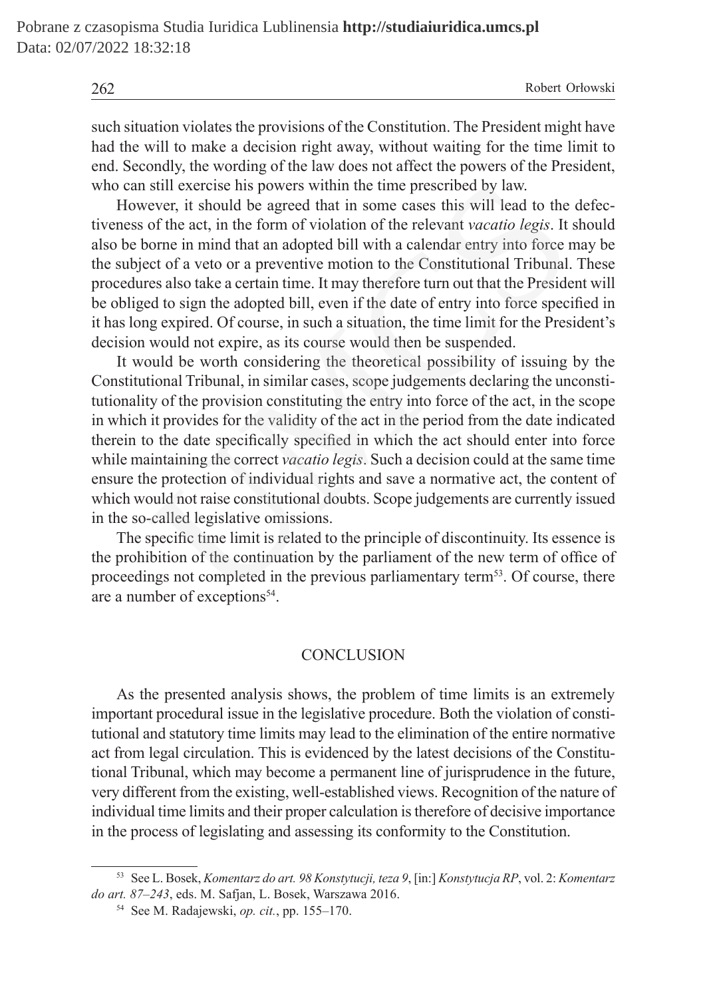262 Robert Orłowski

such situation violates the provisions of the Constitution. The President might have had the will to make a decision right away, without waiting for the time limit to end. Secondly, the wording of the law does not affect the powers of the President, who can still exercise his powers within the time prescribed by law.

However, it should be agreed that in some cases this will lead to the defectiveness of the act, in the form of violation of the relevant *vacatio legis*. It should also be borne in mind that an adopted bill with a calendar entry into force may be the subject of a veto or a preventive motion to the Constitutional Tribunal. These procedures also take a certain time. It may therefore turn out that the President will be obliged to sign the adopted bill, even if the date of entry into force specified in it has long expired. Of course, in such a situation, the time limit for the President's decision would not expire, as its course would then be suspended.

It would be worth considering the theoretical possibility of issuing by the Constitutional Tribunal, in similar cases, scope judgements declaring the unconstitutionality of the provision constituting the entry into force of the act, in the scope in which it provides for the validity of the act in the period from the date indicated therein to the date specifically specified in which the act should enter into force while maintaining the correct *vacatio legis*. Such a decision could at the same time ensure the protection of individual rights and save a normative act, the content of which would not raise constitutional doubts. Scope judgements are currently issued in the so-called legislative omissions. still exercise his powers within the time prescribed by law.<br>ever, it should be agreed that in some cases this will lead to the of the act, in the form of violation of the relevant *vacatio legis*. It of the new order or

The specific time limit is related to the principle of discontinuity. Its essence is the prohibition of the continuation by the parliament of the new term of office of proceedings not completed in the previous parliamentary term<sup>53</sup>. Of course, there are a number of exceptions<sup>54</sup>.

#### **CONCLUSION**

As the presented analysis shows, the problem of time limits is an extremely important procedural issue in the legislative procedure. Both the violation of constitutional and statutory time limits may lead to the elimination of the entire normative act from legal circulation. This is evidenced by the latest decisions of the Constitutional Tribunal, which may become a permanent line of jurisprudence in the future, very different from the existing, well-established views. Recognition of the nature of individual time limits and their proper calculation is therefore of decisive importance in the process of legislating and assessing its conformity to the Constitution.

<sup>53</sup> See L. Bosek, *Komentarz do art. 98 Konstytucji, teza 9*, [in:] *Konstytucja RP*, vol. 2: *Komentarz do art. 87–243*, eds. M. Safjan, L. Bosek, Warszawa 2016.

<sup>54</sup> See M. Radajewski, *op. cit.*, pp. 155–170.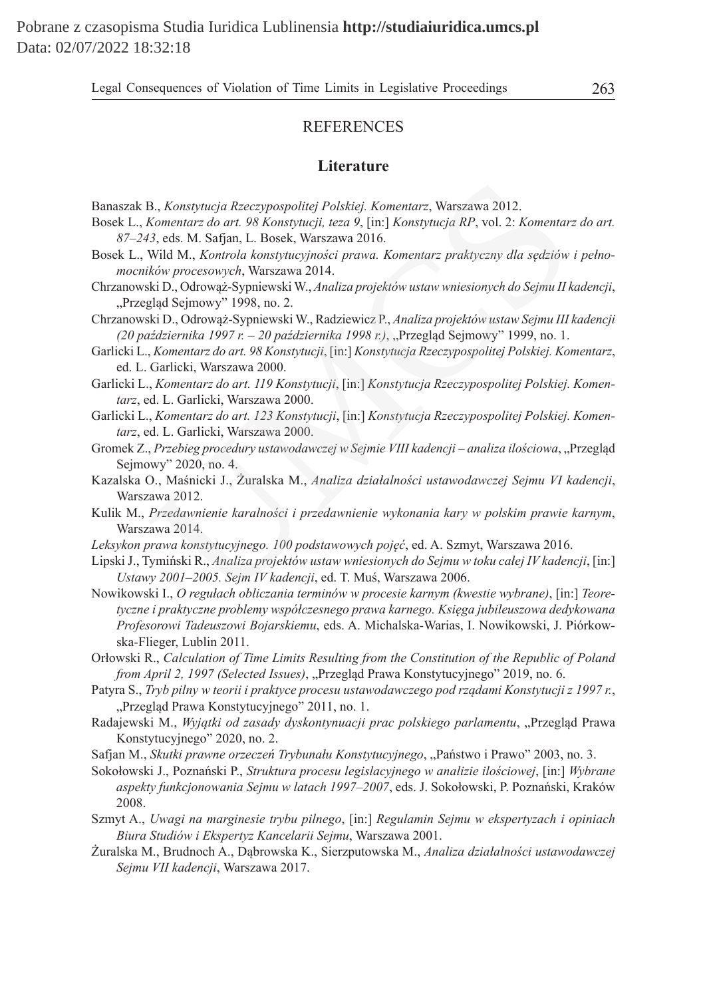#### **REFERENCES**

#### **Literature**

- Banaszak B., *Konstytucja Rzeczypospolitej Polskiej. Komentarz*, Warszawa 2012.
- Bosek L., *Komentarz do art. 98 Konstytucji, teza 9*, [in:] *Konstytucja RP*, vol. 2: *Komentarz do art. 87–243*, eds. M. Safjan, L. Bosek, Warszawa 2016.
- Bosek L., Wild M., *Kontrola konstytucyjności prawa. Komentarz praktyczny dla sędziów i pełnomocników procesowych*, Warszawa 2014.
- Chrzanowski D., Odrowąż-Sypniewski W., *Analiza projektów ustaw wniesionych do Sejmu II kadencji*, "Przegląd Sejmowy" 1998, no. 2.
- Chrzanowski D., Odrowąż-Sypniewski W., Radziewicz P., *Analiza projektów ustaw Sejmu III kadencji (20 października 1997 r. – 20 października 1998 r.)*, "Przegląd Sejmowy" 1999, no. 1. B., Konstytucja Rzeczypospolitej Polskiej. Komentarz, Warszawa 2012.<br>Komentarz do art. 98 Konstytucji, teza 9, [in:] Konstytucja RP, vol. 2: Komentar.<br>13, eds. M. Safjan, L. Bosek, Warszawa 2016.<br>Wild M., Kontrola konstytu
- Garlicki L., *Komentarz do art. 98 Konstytucji*, [in:] *Konstytucja Rzeczypospolitej Polskiej. Komentarz*, ed. L. Garlicki, Warszawa 2000.
- Garlicki L., *Komentarz do art. 119 Konstytucji*, [in:] *Konstytucja Rzeczypospolitej Polskiej. Komentarz*, ed. L. Garlicki, Warszawa 2000.
- Garlicki L., *Komentarz do art. 123 Konstytucji*, [in:] *Konstytucja Rzeczypospolitej Polskiej. Komentarz*, ed. L. Garlicki, Warszawa 2000.
- Gromek Z., *Przebieg procedury ustawodawczej w Sejmie VIII kadencji analiza ilościowa*, "Przegląd Sejmowy" 2020, no. 4.
- Kazalska O., Maśnicki J., Żuralska M., *Analiza działalności ustawodawczej Sejmu VI kadencji*, Warszawa 2012.
- Kulik M., *Przedawnienie karalności i przedawnienie wykonania kary w polskim prawie karnym*, Warszawa 2014.
- *Leksykon prawa konstytucyjnego. 100 podstawowych pojęć*, ed. A. Szmyt, Warszawa 2016.
- Lipski J., Tymiński R., *Analiza projektów ustaw wniesionych do Sejmu w toku całej IV kadencji*, [in:] *Ustawy 2001–2005. Sejm IV kadencji*, ed. T. Muś, Warszawa 2006.
- Nowikowski I., *O regułach obliczania terminów w procesie karnym (kwestie wybrane)*, [in:] *Teoretyczne i praktyczne problemy współczesnego prawa karnego. Księga jubileuszowa dedykowana Profesorowi Tadeuszowi Bojarskiemu*, eds. A. Michalska-Warias, I. Nowikowski, J. Piórkowska-Flieger, Lublin 2011.
- Orłowski R., *Calculation of Time Limits Resulting from the Constitution of the Republic of Poland from April 2, 1997 (Selected Issues), "Przegląd Prawa Konstytucyjnego" 2019, no. 6.*
- Patyra S., *Tryb pilny w teorii i praktyce procesu ustawodawczego pod rządami Konstytucji z 1997 r.*, "Przegląd Prawa Konstytucyjnego" 2011, no. 1.
- Radajewski M., Wyjątki od zasady dyskontynuacji prac polskiego parlamentu, "Przegląd Prawa Konstytucyjnego" 2020, no. 2.
- Safjan M., *Skutki prawne orzeczeń Trybunału Konstytucyjnego*, "Państwo i Prawo" 2003, no. 3.
- Sokołowski J., Poznański P., *Struktura procesu legislacyjnego w analizie ilościowej*, [in:] *Wybrane aspekty funkcjonowania Sejmu w latach 1997–2007*, eds. J. Sokołowski, P. Poznański, Kraków 2008.
- Szmyt A., *Uwagi na marginesie trybu pilnego*, [in:] *Regulamin Sejmu w ekspertyzach i opiniach Biura Studiów i Ekspertyz Kancelarii Sejmu*, Warszawa 2001.
- Żuralska M., Brudnoch A., Dąbrowska K., Sierzputowska M., *Analiza działalności ustawodawczej Sejmu VII kadencji*, Warszawa 2017.